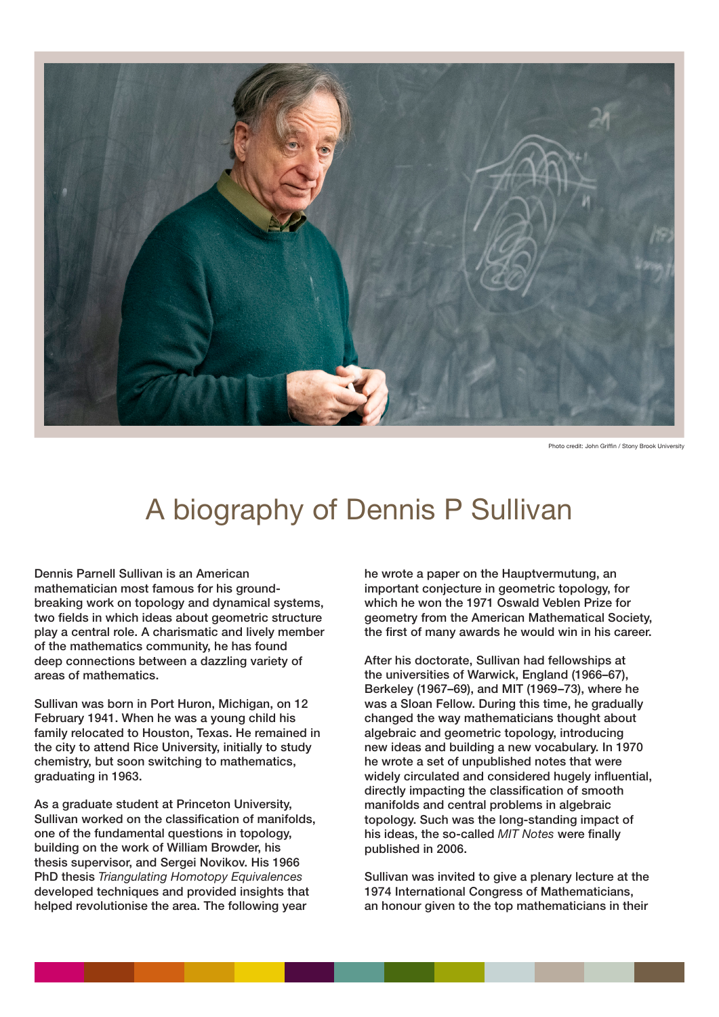

Photo credit: John Griffin / Stony Brook University

## A biography of Dennis P Sullivan

Dennis Parnell Sullivan is an American mathematician most famous for his groundbreaking work on topology and dynamical systems, two fields in which ideas about geometric structure play a central role. A charismatic and lively member of the mathematics community, he has found deep connections between a dazzling variety of areas of mathematics.

Sullivan was born in Port Huron, Michigan, on 12 February 1941. When he was a young child his family relocated to Houston, Texas. He remained in the city to attend Rice University, initially to study chemistry, but soon switching to mathematics, graduating in 1963.

As a graduate student at Princeton University, Sullivan worked on the classification of manifolds, one of the fundamental questions in topology, building on the work of William Browder, his thesis supervisor, and Sergei Novikov. His 1966 PhD thesis *Triangulating Homotopy Equivalences* developed techniques and provided insights that helped revolutionise the area. The following year

he wrote a paper on the Hauptvermutung, an important conjecture in geometric topology, for which he won the 1971 Oswald Veblen Prize for geometry from the American Mathematical Society, the first of many awards he would win in his career.

After his doctorate, Sullivan had fellowships at the universities of Warwick, England (1966–67), Berkeley (1967–69), and MIT (1969–73), where he was a Sloan Fellow. During this time, he gradually changed the way mathematicians thought about algebraic and geometric topology, introducing new ideas and building a new vocabulary. In 1970 he wrote a set of unpublished notes that were widely circulated and considered hugely influential. directly impacting the classification of smooth manifolds and central problems in algebraic topology. Such was the long-standing impact of his ideas, the so-called *MIT Notes* were finally published in 2006.

Sullivan was invited to give a plenary lecture at the 1974 International Congress of Mathematicians, an honour given to the top mathematicians in their